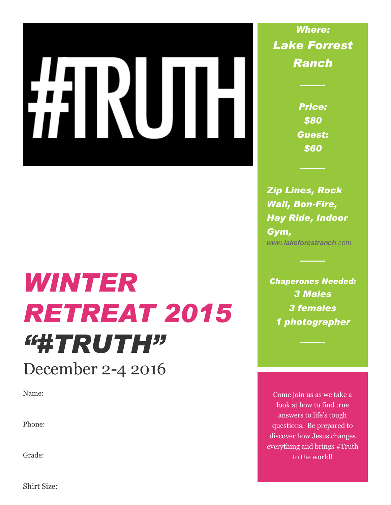# IN.

# *WINTER RETREAT 2015 "#TRUTH"* December 2-4 2016

Name:

Phone:

Grade:

Shirt Size:

*Where: Lake Forrest Ranch*

> *Price: \$80 Guest: \$60*

*Zip Lines, Rock Wall, Bon-Fire, Hay Ride, Indoor Gym, www.lakeforestranch.com*

*Chaperones Needed: 3 Males 3 females 1 photographer*

Come join us as we take a look at how to find true answers to life's tough questions. Be prepared to discover how Jesus changes everything and brings #Truth to the world!